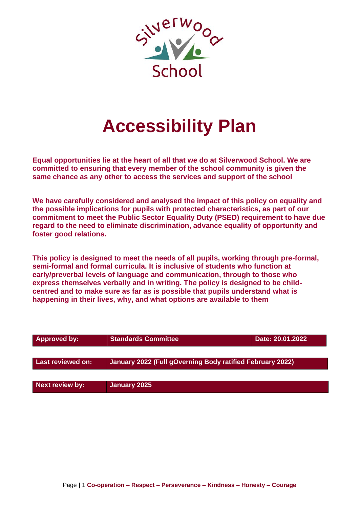

# **Accessibility Plan**

**Equal opportunities lie at the heart of all that we do at Silverwood School. We are committed to ensuring that every member of the school community is given the same chance as any other to access the services and support of the school**

**We have carefully considered and analysed the impact of this policy on equality and the possible implications for pupils with protected characteristics, as part of our commitment to meet the Public Sector Equality Duty (PSED) requirement to have due regard to the need to eliminate discrimination, advance equality of opportunity and foster good relations.**

**This policy is designed to meet the needs of all pupils, working through pre-formal, semi-formal and formal curricula. It is inclusive of students who function at early/preverbal levels of language and communication, through to those who express themselves verbally and in writing. The policy is designed to be childcentred and to make sure as far as is possible that pupils understand what is happening in their lives, why, and what options are available to them**

| <b>Approved by:</b>      | <b>Standards Committee</b>                                | Date: 20.01.2022 |  |  |
|--------------------------|-----------------------------------------------------------|------------------|--|--|
| <b>Last reviewed on:</b> | January 2022 (Full gOverning Body ratified February 2022) |                  |  |  |
|                          |                                                           |                  |  |  |
| Next review by:          | January 2025                                              |                  |  |  |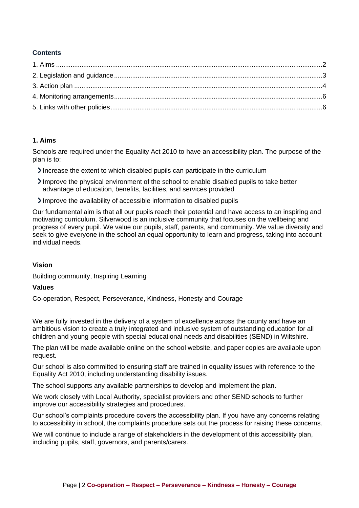## **Contents**

## <span id="page-1-0"></span>**1. Aims**

Schools are required under the Equality Act 2010 to have an accessibility plan. The purpose of the plan is to:

- $\sum$  Increase the extent to which disabled pupils can participate in the curriculum
- Improve the physical environment of the school to enable disabled pupils to take better advantage of education, benefits, facilities, and services provided
- Improve the availability of accessible information to disabled pupils

Our fundamental aim is that all our pupils reach their potential and have access to an inspiring and motivating curriculum. Silverwood is an inclusive community that focuses on the wellbeing and progress of every pupil. We value our pupils, staff, parents, and community. We value diversity and seek to give everyone in the school an equal opportunity to learn and progress, taking into account individual needs.

#### **Vision**

Building community, Inspiring Learning

#### **Values**

Co-operation, Respect, Perseverance, Kindness, Honesty and Courage

We are fully invested in the delivery of a system of excellence across the county and have an ambitious vision to create a truly integrated and inclusive system of outstanding education for all children and young people with special educational needs and disabilities (SEND) in Wiltshire.

The plan will be made available online on the school website, and paper copies are available upon request.

Our school is also committed to ensuring staff are trained in equality issues with reference to the Equality Act 2010, including understanding disability issues.

The school supports any available partnerships to develop and implement the plan.

We work closely with Local Authority, specialist providers and other SEND schools to further improve our accessibility strategies and procedures.

Our school's complaints procedure covers the accessibility plan. If you have any concerns relating to accessibility in school, the complaints procedure sets out the process for raising these concerns.

We will continue to include a range of stakeholders in the development of this accessibility plan, including pupils, staff, governors, and parents/carers.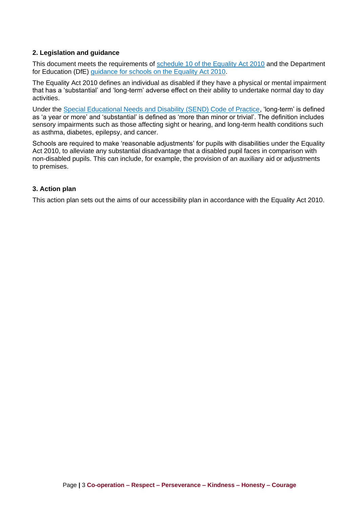## <span id="page-2-0"></span>**2. Legislation and guidance**

This document meets the requirements of [schedule 10 of the Equality Act 2010](http://www.legislation.gov.uk/ukpga/2010/15/schedule/10) and the Department for Education (DfE) [guidance for schools on the Equality Act 2010.](https://www.gov.uk/government/publications/equality-act-2010-advice-for-schools)

The Equality Act 2010 defines an individual as disabled if they have a physical or mental impairment that has a 'substantial' and 'long-term' adverse effect on their ability to undertake normal day to day activities.

Under the [Special Educational Needs and Disability \(SEND\) Code of Practice,](https://www.gov.uk/government/publications/send-code-of-practice-0-to-25) 'long-term' is defined as 'a year or more' and 'substantial' is defined as 'more than minor or trivial'. The definition includes sensory impairments such as those affecting sight or hearing, and long-term health conditions such as asthma, diabetes, epilepsy, and cancer.

Schools are required to make 'reasonable adjustments' for pupils with disabilities under the Equality Act 2010, to alleviate any substantial disadvantage that a disabled pupil faces in comparison with non-disabled pupils. This can include, for example, the provision of an auxiliary aid or adjustments to premises.

## <span id="page-2-1"></span>**3. Action plan**

This action plan sets out the aims of our accessibility plan in accordance with the Equality Act 2010.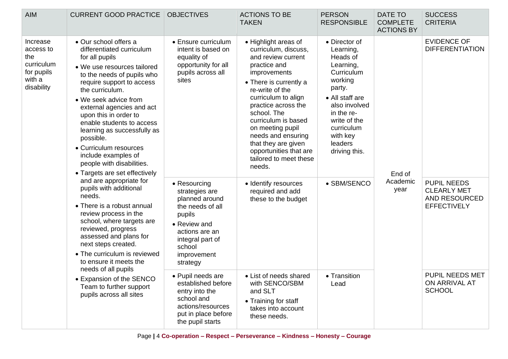| <b>AIM</b>                                                                       | <b>CURRENT GOOD PRACTICE</b>                                                                                                                                                                                                                                                                                                                                                                                                                                                                                                                                                                                                                                                                                                                                                                                                                          | <b>OBJECTIVES</b>                                                                                                                                                         | <b>ACTIONS TO BE</b><br><b>TAKEN</b>                                                                                                                                                                                                                                                                                                                               | <b>PERSON</b><br><b>RESPONSIBLE</b>                                                                                                                                                                            | <b>DATE TO</b><br><b>COMPLETE</b><br><b>ACTIONS BY</b> | <b>SUCCESS</b><br><b>CRITERIA</b>                                                      |
|----------------------------------------------------------------------------------|-------------------------------------------------------------------------------------------------------------------------------------------------------------------------------------------------------------------------------------------------------------------------------------------------------------------------------------------------------------------------------------------------------------------------------------------------------------------------------------------------------------------------------------------------------------------------------------------------------------------------------------------------------------------------------------------------------------------------------------------------------------------------------------------------------------------------------------------------------|---------------------------------------------------------------------------------------------------------------------------------------------------------------------------|--------------------------------------------------------------------------------------------------------------------------------------------------------------------------------------------------------------------------------------------------------------------------------------------------------------------------------------------------------------------|----------------------------------------------------------------------------------------------------------------------------------------------------------------------------------------------------------------|--------------------------------------------------------|----------------------------------------------------------------------------------------|
| Increase<br>access to<br>the<br>curriculum<br>for pupils<br>with a<br>disability | • Our school offers a<br>differentiated curriculum<br>for all pupils<br>• We use resources tailored<br>to the needs of pupils who<br>require support to access<br>the curriculum.<br>• We seek advice from<br>external agencies and act<br>upon this in order to<br>enable students to access<br>learning as successfully as<br>possible.<br>• Curriculum resources<br>include examples of<br>people with disabilities.<br>• Targets are set effectively<br>and are appropriate for<br>pupils with additional<br>needs.<br>• There is a robust annual<br>review process in the<br>school, where targets are<br>reviewed, progress<br>assessed and plans for<br>next steps created.<br>• The curriculum is reviewed<br>to ensure it meets the<br>needs of all pupils<br>• Expansion of the SENCO<br>Team to further support<br>pupils across all sites | • Ensure curriculum<br>intent is based on<br>equality of<br>opportunity for all<br>pupils across all<br>sites                                                             | • Highlight areas of<br>curriculum, discuss,<br>and review current<br>practice and<br>improvements<br>• There is currently a<br>re-write of the<br>curriculum to align<br>practice across the<br>school. The<br>curriculum is based<br>on meeting pupil<br>needs and ensuring<br>that they are given<br>opportunities that are<br>tailored to meet these<br>needs. | • Director of<br>Learning,<br>Heads of<br>Learning,<br>Curriculum<br>working<br>party.<br>• All staff are<br>also involved<br>in the re-<br>write of the<br>curriculum<br>with key<br>leaders<br>driving this. | End of<br>Academic<br>year                             | <b>EVIDENCE OF</b><br><b>DIFFERENTIATION</b>                                           |
|                                                                                  |                                                                                                                                                                                                                                                                                                                                                                                                                                                                                                                                                                                                                                                                                                                                                                                                                                                       | • Resourcing<br>strategies are<br>planned around<br>the needs of all<br>pupils<br>• Review and<br>actions are an<br>integral part of<br>school<br>improvement<br>strategy | • Identify resources<br>required and add<br>these to the budget                                                                                                                                                                                                                                                                                                    | • SBM/SENCO                                                                                                                                                                                                    |                                                        | <b>PUPIL NEEDS</b><br><b>CLEARLY MET</b><br><b>AND RESOURCED</b><br><b>EFFECTIVELY</b> |
|                                                                                  |                                                                                                                                                                                                                                                                                                                                                                                                                                                                                                                                                                                                                                                                                                                                                                                                                                                       | • Pupil needs are<br>established before<br>entry into the<br>school and<br>actions/resources<br>put in place before<br>the pupil starts                                   | • List of needs shared<br>with SENCO/SBM<br>and SLT<br>• Training for staff<br>takes into account<br>these needs.                                                                                                                                                                                                                                                  | • Transition<br>Lead                                                                                                                                                                                           |                                                        | PUPIL NEEDS MET<br>ON ARRIVAL AT<br><b>SCHOOL</b>                                      |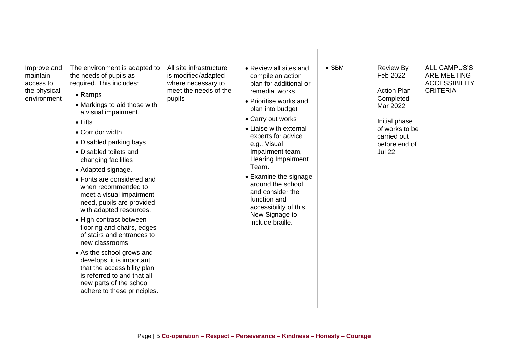| Improve and<br>maintain<br>access to<br>the physical<br>environment | The environment is adapted to<br>the needs of pupils as<br>required. This includes:<br>• Ramps<br>• Markings to aid those with<br>a visual impairment.<br>$\bullet$ Lifts<br>• Corridor width<br>• Disabled parking bays<br>• Disabled toilets and<br>changing facilities<br>• Adapted signage.<br>• Fonts are considered and<br>when recommended to<br>meet a visual impairment<br>need, pupils are provided<br>with adapted resources.<br>• High contrast between<br>flooring and chairs, edges<br>of stairs and entrances to<br>new classrooms.<br>• As the school grows and<br>develops, it is important<br>that the accessibility plan<br>is referred to and that all<br>new parts of the school<br>adhere to these principles. | All site infrastructure<br>is modified/adapted<br>where necessary to<br>meet the needs of the<br>pupils | • Review all sites and<br>compile an action<br>plan for additional or<br>remedial works<br>• Prioritise works and<br>plan into budget<br>• Carry out works<br>• Liaise with external<br>experts for advice<br>e.g., Visual<br>Impairment team,<br>Hearing Impairment<br>Team.<br>• Examine the signage<br>around the school<br>and consider the<br>function and<br>accessibility of this.<br>New Signage to<br>include braille. | $\bullet$ SBM | <b>Review By</b><br>Feb 2022<br><b>Action Plan</b><br>Completed<br>Mar 2022<br>Initial phase<br>of works to be<br>carried out<br>before end of<br><b>Jul 22</b> | <b>ALL CAMPUS'S</b><br><b>ARE MEETING</b><br><b>ACCESSIBILITY</b><br><b>CRITERIA</b> |
|---------------------------------------------------------------------|--------------------------------------------------------------------------------------------------------------------------------------------------------------------------------------------------------------------------------------------------------------------------------------------------------------------------------------------------------------------------------------------------------------------------------------------------------------------------------------------------------------------------------------------------------------------------------------------------------------------------------------------------------------------------------------------------------------------------------------|---------------------------------------------------------------------------------------------------------|---------------------------------------------------------------------------------------------------------------------------------------------------------------------------------------------------------------------------------------------------------------------------------------------------------------------------------------------------------------------------------------------------------------------------------|---------------|-----------------------------------------------------------------------------------------------------------------------------------------------------------------|--------------------------------------------------------------------------------------|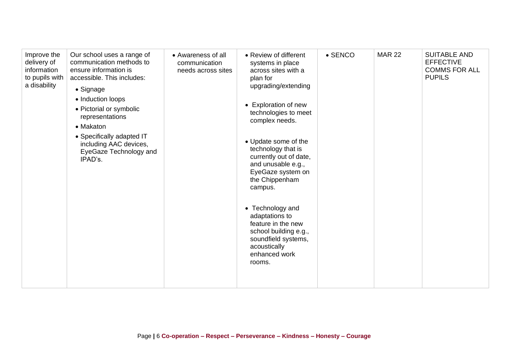| Improve the<br>delivery of<br>information<br>to pupils with<br>a disability | Our school uses a range of<br>communication methods to<br>ensure information is<br>accessible. This includes:<br>• Signage<br>• Induction loops<br>• Pictorial or symbolic<br>representations<br>• Makaton<br>• Specifically adapted IT<br>including AAC devices,<br>EyeGaze Technology and<br>IPAD's. | • Awareness of all<br>communication<br>needs across sites | • Review of different<br>systems in place<br>across sites with a<br>plan for<br>upgrading/extending<br>• Exploration of new<br>technologies to meet<br>complex needs.<br>• Update some of the<br>technology that is<br>currently out of date,<br>and unusable e.g.,<br>EyeGaze system on<br>the Chippenham<br>campus.<br>• Technology and<br>adaptations to<br>feature in the new<br>school building e.g.,<br>soundfield systems,<br>acoustically<br>enhanced work<br>rooms. | $\bullet$ SENCO | <b>MAR 22</b> | <b>SUITABLE AND</b><br><b>EFFECTIVE</b><br><b>COMMS FOR ALL</b><br><b>PUPILS</b> |
|-----------------------------------------------------------------------------|--------------------------------------------------------------------------------------------------------------------------------------------------------------------------------------------------------------------------------------------------------------------------------------------------------|-----------------------------------------------------------|------------------------------------------------------------------------------------------------------------------------------------------------------------------------------------------------------------------------------------------------------------------------------------------------------------------------------------------------------------------------------------------------------------------------------------------------------------------------------|-----------------|---------------|----------------------------------------------------------------------------------|
|-----------------------------------------------------------------------------|--------------------------------------------------------------------------------------------------------------------------------------------------------------------------------------------------------------------------------------------------------------------------------------------------------|-----------------------------------------------------------|------------------------------------------------------------------------------------------------------------------------------------------------------------------------------------------------------------------------------------------------------------------------------------------------------------------------------------------------------------------------------------------------------------------------------------------------------------------------------|-----------------|---------------|----------------------------------------------------------------------------------|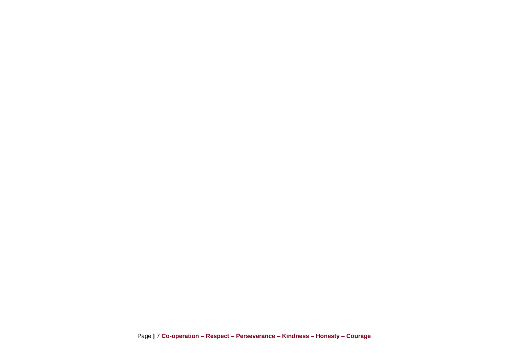Page **|** 7 **Co-operation – Respect – Perseverance – Kindness – Honesty – Courage**